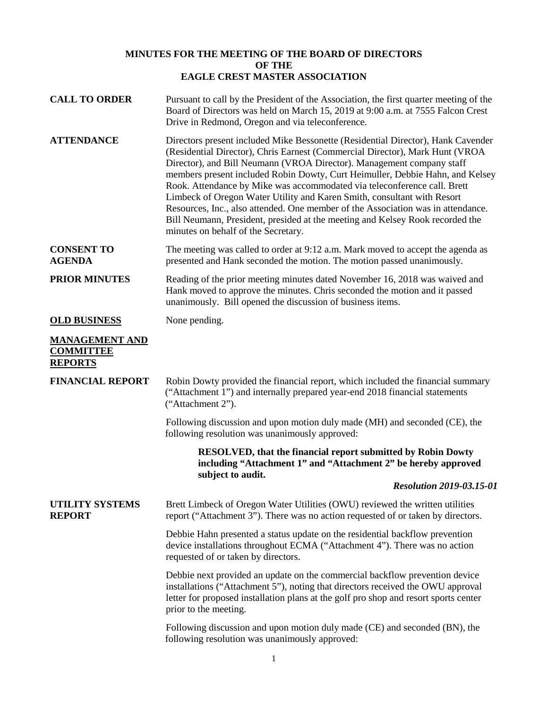## **MINUTES FOR THE MEETING OF THE BOARD OF DIRECTORS OF THE EAGLE CREST MASTER ASSOCIATION**

| <b>CALL TO ORDER</b>                                        | Pursuant to call by the President of the Association, the first quarter meeting of the<br>Board of Directors was held on March 15, 2019 at 9:00 a.m. at 7555 Falcon Crest<br>Drive in Redmond, Oregon and via teleconference.                                                                                                                                                                                                                                                                                                                                                                                                                                                                 |
|-------------------------------------------------------------|-----------------------------------------------------------------------------------------------------------------------------------------------------------------------------------------------------------------------------------------------------------------------------------------------------------------------------------------------------------------------------------------------------------------------------------------------------------------------------------------------------------------------------------------------------------------------------------------------------------------------------------------------------------------------------------------------|
| <b>ATTENDANCE</b>                                           | Directors present included Mike Bessonette (Residential Director), Hank Cavender<br>(Residential Director), Chris Earnest (Commercial Director), Mark Hunt (VROA<br>Director), and Bill Neumann (VROA Director). Management company staff<br>members present included Robin Dowty, Curt Heimuller, Debbie Hahn, and Kelsey<br>Rook. Attendance by Mike was accommodated via teleconference call. Brett<br>Limbeck of Oregon Water Utility and Karen Smith, consultant with Resort<br>Resources, Inc., also attended. One member of the Association was in attendance.<br>Bill Neumann, President, presided at the meeting and Kelsey Rook recorded the<br>minutes on behalf of the Secretary. |
| <b>CONSENT TO</b><br><b>AGENDA</b>                          | The meeting was called to order at 9:12 a.m. Mark moved to accept the agenda as<br>presented and Hank seconded the motion. The motion passed unanimously.                                                                                                                                                                                                                                                                                                                                                                                                                                                                                                                                     |
| <b>PRIOR MINUTES</b>                                        | Reading of the prior meeting minutes dated November 16, 2018 was waived and<br>Hank moved to approve the minutes. Chris seconded the motion and it passed<br>unanimously. Bill opened the discussion of business items.                                                                                                                                                                                                                                                                                                                                                                                                                                                                       |
| <b>OLD BUSINESS</b>                                         | None pending.                                                                                                                                                                                                                                                                                                                                                                                                                                                                                                                                                                                                                                                                                 |
| <b>MANAGEMENT AND</b><br><b>COMMITTEE</b><br><b>REPORTS</b> |                                                                                                                                                                                                                                                                                                                                                                                                                                                                                                                                                                                                                                                                                               |
| <b>FINANCIAL REPORT</b>                                     | Robin Dowty provided the financial report, which included the financial summary<br>("Attachment 1") and internally prepared year-end 2018 financial statements<br>("Attachment 2").                                                                                                                                                                                                                                                                                                                                                                                                                                                                                                           |
|                                                             | Following discussion and upon motion duly made (MH) and seconded (CE), the<br>following resolution was unanimously approved:                                                                                                                                                                                                                                                                                                                                                                                                                                                                                                                                                                  |
|                                                             | <b>RESOLVED, that the financial report submitted by Robin Dowty</b><br>including "Attachment 1" and "Attachment 2" be hereby approved<br>subject to audit.                                                                                                                                                                                                                                                                                                                                                                                                                                                                                                                                    |
|                                                             | <b>Resolution 2019-03.15-01</b>                                                                                                                                                                                                                                                                                                                                                                                                                                                                                                                                                                                                                                                               |
| <b>UTILITY SYSTEMS</b><br><b>REPORT</b>                     | Brett Limbeck of Oregon Water Utilities (OWU) reviewed the written utilities<br>report ("Attachment 3"). There was no action requested of or taken by directors.                                                                                                                                                                                                                                                                                                                                                                                                                                                                                                                              |
|                                                             | Debbie Hahn presented a status update on the residential backflow prevention<br>device installations throughout ECMA ("Attachment 4"). There was no action<br>requested of or taken by directors.                                                                                                                                                                                                                                                                                                                                                                                                                                                                                             |
|                                                             | Debbie next provided an update on the commercial backflow prevention device<br>installations ("Attachment 5"), noting that directors received the OWU approval<br>letter for proposed installation plans at the golf pro shop and resort sports center<br>prior to the meeting.                                                                                                                                                                                                                                                                                                                                                                                                               |
|                                                             | Following discussion and upon motion duly made (CE) and seconded (BN), the<br>following resolution was unanimously approved:                                                                                                                                                                                                                                                                                                                                                                                                                                                                                                                                                                  |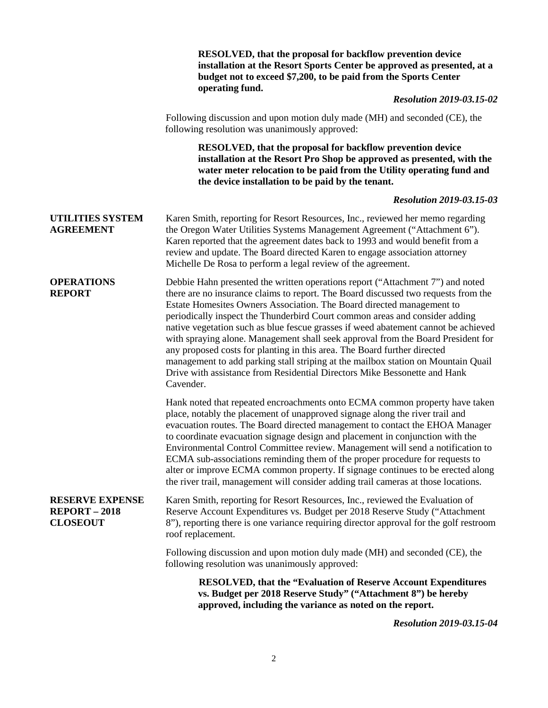|                                                                 | <b>RESOLVED, that the proposal for backflow prevention device</b><br>installation at the Resort Sports Center be approved as presented, at a<br>budget not to exceed \$7,200, to be paid from the Sports Center<br>operating fund.                                                                                                                                                                                                                                                                                                                                                                                                                                                                                                                                |
|-----------------------------------------------------------------|-------------------------------------------------------------------------------------------------------------------------------------------------------------------------------------------------------------------------------------------------------------------------------------------------------------------------------------------------------------------------------------------------------------------------------------------------------------------------------------------------------------------------------------------------------------------------------------------------------------------------------------------------------------------------------------------------------------------------------------------------------------------|
|                                                                 | <b>Resolution 2019-03.15-02</b>                                                                                                                                                                                                                                                                                                                                                                                                                                                                                                                                                                                                                                                                                                                                   |
|                                                                 | Following discussion and upon motion duly made (MH) and seconded (CE), the<br>following resolution was unanimously approved:                                                                                                                                                                                                                                                                                                                                                                                                                                                                                                                                                                                                                                      |
|                                                                 | RESOLVED, that the proposal for backflow prevention device<br>installation at the Resort Pro Shop be approved as presented, with the<br>water meter relocation to be paid from the Utility operating fund and<br>the device installation to be paid by the tenant.                                                                                                                                                                                                                                                                                                                                                                                                                                                                                                |
|                                                                 | <b>Resolution 2019-03.15-03</b>                                                                                                                                                                                                                                                                                                                                                                                                                                                                                                                                                                                                                                                                                                                                   |
| <b>UTILITIES SYSTEM</b><br><b>AGREEMENT</b>                     | Karen Smith, reporting for Resort Resources, Inc., reviewed her memo regarding<br>the Oregon Water Utilities Systems Management Agreement ("Attachment 6").<br>Karen reported that the agreement dates back to 1993 and would benefit from a<br>review and update. The Board directed Karen to engage association attorney<br>Michelle De Rosa to perform a legal review of the agreement.                                                                                                                                                                                                                                                                                                                                                                        |
| <b>OPERATIONS</b><br><b>REPORT</b>                              | Debbie Hahn presented the written operations report ("Attachment 7") and noted<br>there are no insurance claims to report. The Board discussed two requests from the<br>Estate Homesites Owners Association. The Board directed management to<br>periodically inspect the Thunderbird Court common areas and consider adding<br>native vegetation such as blue fescue grasses if weed abatement cannot be achieved<br>with spraying alone. Management shall seek approval from the Board President for<br>any proposed costs for planting in this area. The Board further directed<br>management to add parking stall striping at the mailbox station on Mountain Quail<br>Drive with assistance from Residential Directors Mike Bessonette and Hank<br>Cavender. |
|                                                                 | Hank noted that repeated encroachments onto ECMA common property have taken<br>place, notably the placement of unapproved signage along the river trail and<br>evacuation routes. The Board directed management to contact the EHOA Manager<br>to coordinate evacuation signage design and placement in conjunction with the<br>Environmental Control Committee review. Management will send a notification to<br>ECMA sub-associations reminding them of the proper procedure for requests to<br>alter or improve ECMA common property. If signage continues to be erected along<br>the river trail, management will consider adding trail cameras at those locations.                                                                                           |
| <b>RESERVE EXPENSE</b><br><b>REPORT-2018</b><br><b>CLOSEOUT</b> | Karen Smith, reporting for Resort Resources, Inc., reviewed the Evaluation of<br>Reserve Account Expenditures vs. Budget per 2018 Reserve Study ("Attachment"<br>8"), reporting there is one variance requiring director approval for the golf restroom<br>roof replacement.                                                                                                                                                                                                                                                                                                                                                                                                                                                                                      |
|                                                                 | Following discussion and upon motion duly made (MH) and seconded (CE), the<br>following resolution was unanimously approved:                                                                                                                                                                                                                                                                                                                                                                                                                                                                                                                                                                                                                                      |
|                                                                 | <b>RESOLVED, that the "Evaluation of Reserve Account Expenditures"</b><br>vs. Budget per 2018 Reserve Study" ("Attachment 8") be hereby<br>approved, including the variance as noted on the report.<br>010.0215.04                                                                                                                                                                                                                                                                                                                                                                                                                                                                                                                                                |

*Resolution 2019-03.15-04*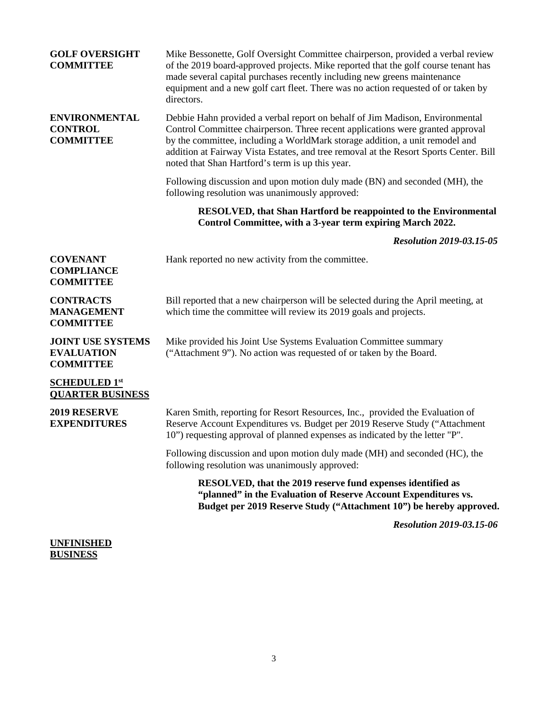| <b>GOLF OVERSIGHT</b><br><b>COMMITTEE</b>                         | Mike Bessonette, Golf Oversight Committee chairperson, provided a verbal review<br>of the 2019 board-approved projects. Mike reported that the golf course tenant has<br>made several capital purchases recently including new greens maintenance<br>equipment and a new golf cart fleet. There was no action requested of or taken by<br>directors.                                        |
|-------------------------------------------------------------------|---------------------------------------------------------------------------------------------------------------------------------------------------------------------------------------------------------------------------------------------------------------------------------------------------------------------------------------------------------------------------------------------|
| <b>ENVIRONMENTAL</b><br><b>CONTROL</b><br><b>COMMITTEE</b>        | Debbie Hahn provided a verbal report on behalf of Jim Madison, Environmental<br>Control Committee chairperson. Three recent applications were granted approval<br>by the committee, including a WorldMark storage addition, a unit remodel and<br>addition at Fairway Vista Estates, and tree removal at the Resort Sports Center. Bill<br>noted that Shan Hartford's term is up this year. |
|                                                                   | Following discussion and upon motion duly made (BN) and seconded (MH), the<br>following resolution was unanimously approved:                                                                                                                                                                                                                                                                |
|                                                                   | <b>RESOLVED, that Shan Hartford be reappointed to the Environmental</b><br>Control Committee, with a 3-year term expiring March 2022.                                                                                                                                                                                                                                                       |
|                                                                   | <b>Resolution 2019-03.15-05</b>                                                                                                                                                                                                                                                                                                                                                             |
| <b>COVENANT</b><br><b>COMPLIANCE</b><br><b>COMMITTEE</b>          | Hank reported no new activity from the committee.                                                                                                                                                                                                                                                                                                                                           |
| <b>CONTRACTS</b><br><b>MANAGEMENT</b><br><b>COMMITTEE</b>         | Bill reported that a new chairperson will be selected during the April meeting, at<br>which time the committee will review its 2019 goals and projects.                                                                                                                                                                                                                                     |
| <b>JOINT USE SYSTEMS</b><br><b>EVALUATION</b><br><b>COMMITTEE</b> | Mike provided his Joint Use Systems Evaluation Committee summary<br>("Attachment 9"). No action was requested of or taken by the Board.                                                                                                                                                                                                                                                     |
| <b>SCHEDULED 1st</b><br><b>QUARTER BUSINESS</b>                   |                                                                                                                                                                                                                                                                                                                                                                                             |
| 2019 RESERVE<br><b>EXPENDITURES</b>                               | Karen Smith, reporting for Resort Resources, Inc., provided the Evaluation of<br>Reserve Account Expenditures vs. Budget per 2019 Reserve Study ("Attachment<br>10") requesting approval of planned expenses as indicated by the letter "P".                                                                                                                                                |
|                                                                   | Following discussion and upon motion duly made (MH) and seconded (HC), the<br>following resolution was unanimously approved:                                                                                                                                                                                                                                                                |
|                                                                   | RESOLVED, that the 2019 reserve fund expenses identified as<br>"planned" in the Evaluation of Reserve Account Expenditures vs.<br>Budget per 2019 Reserve Study ("Attachment 10") be hereby approved.                                                                                                                                                                                       |
|                                                                   | <b>Resolution 2019-03.15-06</b>                                                                                                                                                                                                                                                                                                                                                             |
|                                                                   |                                                                                                                                                                                                                                                                                                                                                                                             |

## **UNFINISHED BUSINESS**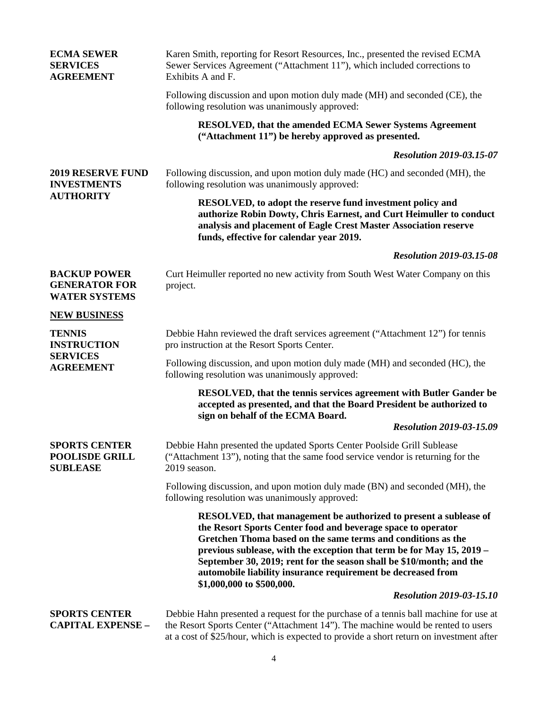| <b>ECMA SEWER</b><br><b>SERVICES</b><br><b>AGREEMENT</b>                   | Karen Smith, reporting for Resort Resources, Inc., presented the revised ECMA<br>Sewer Services Agreement ("Attachment 11"), which included corrections to<br>Exhibits A and F.                                                                                                                                                                                                                                                                       |
|----------------------------------------------------------------------------|-------------------------------------------------------------------------------------------------------------------------------------------------------------------------------------------------------------------------------------------------------------------------------------------------------------------------------------------------------------------------------------------------------------------------------------------------------|
|                                                                            | Following discussion and upon motion duly made (MH) and seconded (CE), the<br>following resolution was unanimously approved:                                                                                                                                                                                                                                                                                                                          |
|                                                                            | RESOLVED, that the amended ECMA Sewer Systems Agreement<br>("Attachment 11") be hereby approved as presented.                                                                                                                                                                                                                                                                                                                                         |
|                                                                            | <b>Resolution 2019-03.15-07</b>                                                                                                                                                                                                                                                                                                                                                                                                                       |
| <b>2019 RESERVE FUND</b><br><b>INVESTMENTS</b><br><b>AUTHORITY</b>         | Following discussion, and upon motion duly made (HC) and seconded (MH), the<br>following resolution was unanimously approved:                                                                                                                                                                                                                                                                                                                         |
|                                                                            | RESOLVED, to adopt the reserve fund investment policy and<br>authorize Robin Dowty, Chris Earnest, and Curt Heimuller to conduct<br>analysis and placement of Eagle Crest Master Association reserve<br>funds, effective for calendar year 2019.                                                                                                                                                                                                      |
|                                                                            | <b>Resolution 2019-03.15-08</b>                                                                                                                                                                                                                                                                                                                                                                                                                       |
| <b>BACKUP POWER</b><br><b>GENERATOR FOR</b><br><b>WATER SYSTEMS</b>        | Curt Heimuller reported no new activity from South West Water Company on this<br>project.                                                                                                                                                                                                                                                                                                                                                             |
| <b>NEW BUSINESS</b>                                                        |                                                                                                                                                                                                                                                                                                                                                                                                                                                       |
| <b>TENNIS</b><br><b>INSTRUCTION</b><br><b>SERVICES</b><br><b>AGREEMENT</b> | Debbie Hahn reviewed the draft services agreement ("Attachment 12") for tennis<br>pro instruction at the Resort Sports Center.                                                                                                                                                                                                                                                                                                                        |
|                                                                            | Following discussion, and upon motion duly made (MH) and seconded (HC), the<br>following resolution was unanimously approved:                                                                                                                                                                                                                                                                                                                         |
|                                                                            | RESOLVED, that the tennis services agreement with Butler Gander be<br>accepted as presented, and that the Board President be authorized to<br>sign on behalf of the ECMA Board.                                                                                                                                                                                                                                                                       |
|                                                                            | <b>Resolution 2019-03-15.09</b>                                                                                                                                                                                                                                                                                                                                                                                                                       |
| <b>SPORTS CENTER</b><br><b>POOLISDE GRILL</b><br><b>SUBLEASE</b>           | Debbie Hahn presented the updated Sports Center Poolside Grill Sublease<br>("Attachment 13"), noting that the same food service vendor is returning for the<br>2019 season.                                                                                                                                                                                                                                                                           |
|                                                                            | Following discussion, and upon motion duly made (BN) and seconded (MH), the<br>following resolution was unanimously approved:                                                                                                                                                                                                                                                                                                                         |
|                                                                            | <b>RESOLVED, that management be authorized to present a sublease of</b><br>the Resort Sports Center food and beverage space to operator<br>Gretchen Thoma based on the same terms and conditions as the<br>previous sublease, with the exception that term be for May 15, 2019 –<br>September 30, 2019; rent for the season shall be \$10/month; and the<br>automobile liability insurance requirement be decreased from<br>\$1,000,000 to \$500,000. |
|                                                                            | <b>Resolution 2019-03-15.10</b>                                                                                                                                                                                                                                                                                                                                                                                                                       |
| <b>SPORTS CENTER</b><br><b>CAPITAL EXPENSE -</b>                           | Debbie Hahn presented a request for the purchase of a tennis ball machine for use at<br>the Resort Sports Center ("Attachment 14"). The machine would be rented to users<br>at a cost of \$25/hour, which is expected to provide a short return on investment after                                                                                                                                                                                   |